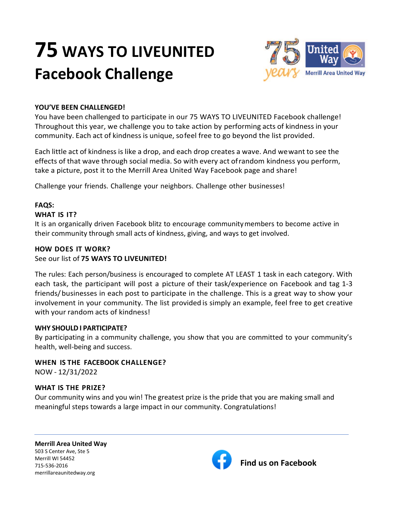# **75 WAYS TO LIVEUNITED Facebook Challenge**



## **YOU'VE BEEN CHALLENGED!**

You have been challenged to participate in our 75 WAYS TO LIVEUNITED Facebook challenge! Throughout this year, we challenge you to take action by performing acts of kindness in your community. Each act of kindness is unique, sofeel free to go beyond the list provided.

Each little act of kindness is like a drop, and each drop creates a wave. And wewant to see the effects of that wave through social media. So with every act ofrandom kindness you perform, take a picture, post it to the Merrill Area United Way Facebook page and share!

Challenge your friends. Challenge your neighbors. Challenge other businesses!

# **FAQS:**

## **WHAT IS IT?**

It is an organically driven Facebook blitz to encourage communitymembers to become active in their community through small acts of kindness, giving, and ways to get involved.

## **HOW DOES IT WORK?**

## See our list of **75 WAYS TO LIVEUNITED!**

The rules: Each person/business is encouraged to complete AT LEAST 1 task in each category. With each task, the participant will post a picture of their task/experience on Facebook and tag 1-3 friends/businesses in each post to participate in the challenge. This is a great way to show your involvement in your community. The list provided is simply an example, feel free to get creative with your random acts of kindness!

## **WHY SHOULD I PARTICIPATE?**

By participating in a community challenge, you show that you are committed to your community's health, well-being and success.

**WHEN IS THE FACEBOOK CHALLENGE?** NOW - 12/31/2022

## **WHAT IS THE PRIZE?**

Our community wins and you win! The greatest prize is the pride that you are making small and meaningful steps towards a large impact in our community. Congratulations!

**Merrill Area United Way** 503 S Center Ave, Ste 5 Merrill WI 54452 715-536-2016 **Find us on Facebook** merrillareaunitedway.org

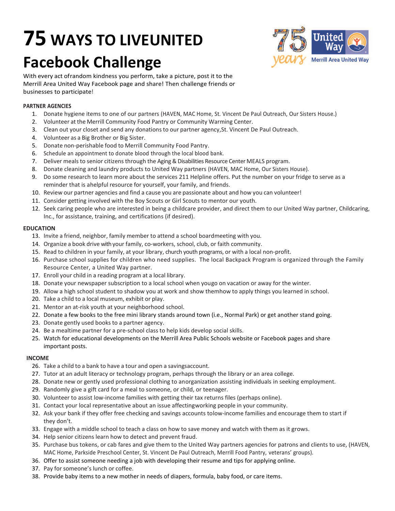# **75 WAYS TO LIVEUNITED Facebook Challenge**



With every act ofrandom kindness you perform, take a picture, post it to the Merrill Area United Way Facebook page and share! Then challenge friends or businesses to participate!

#### **PARTNER AGENCIES**

- 1. Donate hygiene items to one of our partners (HAVEN, MAC Home, St. Vincent De Paul Outreach, Our Sisters House.)
- 2. Volunteer at the Merrill Community Food Pantry or Community Warming Center.
- 3. Clean out your closet and send any donations to our partner agency,St. Vincent De Paul Outreach.
- 4. Volunteer as a Big Brother or Big Sister.
- 5. Donate non-perishable food to Merrill Community Food Pantry.
- 6. Schedule an appointment to donate blood through the local blood bank.
- 7. Deliver meals to senior citizens through the Aging & Disabilities Resource Center MEALS program.
- 8. Donate cleaning and laundry products to United Way partners (HAVEN, MAC Home, Our Sisters House).
- 9. Do some research to learn more about the services 211 Helpline offers. Put the number on your fridge to serve as a reminder that is ahelpful resource for yourself, your family, and friends.
- 10. Review our partner agencies and find a cause you are passionate about and how you can volunteer!
- 11. Consider getting involved with the Boy Scouts or Girl Scouts to mentor our youth.
- 12. Seek caring people who are interested in being a childcare provider, and direct them to our United Way partner, Childcaring, Inc., for assistance, training, and certifications (if desired).

#### **EDUCATION**

- 13. Invite a friend, neighbor, family member to attend a school boardmeeting with you.
- 14. Organize a book drive with your family, co-workers, school, club, or faith community.
- 15. Read to children in your family, at your library, church youth programs, or with a local non-profit.
- 16. Purchase school supplies for children who need supplies. The local Backpack Program is organized through the Family Resource Center, a United Way partner.
- 17. Enroll your child in a reading program at a local library.
- 18. Donate your newspaper subscription to a local school when yougo on vacation or away for the winter.
- 19. Allow a high school student to shadow you at work and show themhow to apply things you learned in school.
- 20. Take a child to a local museum, exhibit or play.
- 21. Mentor an at-risk youth at your neighborhood school.
- 22. Donate a few books to the free mini library stands around town (i.e., Normal Park) or get another stand going.
- 23. Donate gently used books to a partner agency.
- 24. Be a mealtime partner for a pre-school class to help kids develop social skills.
- 25. Watch for educational developments on the Merrill Area Public Schools website or Facebook pages and share important posts.

#### **INCOME**

- 26. Take a child to a bank to have a tour and open a savingsaccount.
- 27. Tutor at an adult literacy or technology program, perhaps through the library or an area college.
- 28. Donate new or gently used professional clothing to anorganization assisting individuals in seeking employment.
- 29. Randomly give a gift card for a meal to someone, or child, or teenager.
- 30. Volunteer to assist low-income families with getting their tax returns files (perhaps online).
- 31. Contact your local representative about an issue affectingworking people in your community.
- 32. Ask your bank if they offer free checking and savings accounts tolow-income families and encourage them to start if they don't.
- 33. Engage with a middle school to teach a class on how to save money and watch with them as it grows.
- 34. Help senior citizens learn how to detect and prevent fraud.
- 35. Purchase bus tokens, or cab fares and give them to the United Way partners agencies for patrons and clients to use, (HAVEN, MAC Home, Parkside Preschool Center, St. Vincent De Paul Outreach, Merrill Food Pantry, veterans' groups).
- 36. Offer to assist someone needing a job with developing their resume and tips for applying online.
- 37. Pay for someone's lunch or coffee.
- 38. Provide baby items to a new mother in needs of diapers, formula, baby food, or care items.